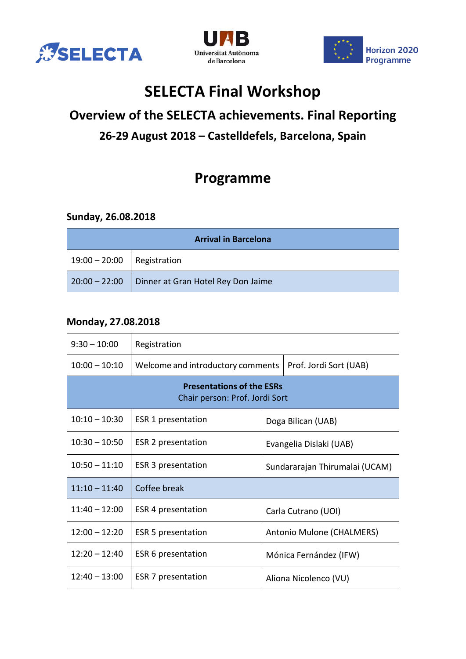





# **SELECTA Final Workshop**

## **Overview of the SELECTA achievements. Final Reporting 26-29 August 2018 – Castelldefels, Barcelona, Spain**

## **Programme**

#### **Sunday, 26.08.2018**

| <b>Arrival in Barcelona</b>  |                                    |  |  |
|------------------------------|------------------------------------|--|--|
| $19:00 - 20:00$ Registration |                                    |  |  |
| $20:00 - 22:00$              | Dinner at Gran Hotel Rey Don Jaime |  |  |

#### **Monday, 27.08.2018**

| $9:30 - 10:00$                                                     | Registration                      |                                |                        |  |  |
|--------------------------------------------------------------------|-----------------------------------|--------------------------------|------------------------|--|--|
| $10:00 - 10:10$                                                    | Welcome and introductory comments |                                | Prof. Jordi Sort (UAB) |  |  |
| <b>Presentations of the ESRs</b><br>Chair person: Prof. Jordi Sort |                                   |                                |                        |  |  |
| $10:10 - 10:30$                                                    | ESR 1 presentation                | Doga Bilican (UAB)             |                        |  |  |
| $10:30 - 10:50$                                                    | ESR 2 presentation                | Evangelia Dislaki (UAB)        |                        |  |  |
| $10:50 - 11:10$                                                    | <b>ESR 3 presentation</b>         | Sundararajan Thirumalai (UCAM) |                        |  |  |
| $11:10 - 11:40$                                                    | Coffee break                      |                                |                        |  |  |
| $11:40 - 12:00$                                                    | ESR 4 presentation                | Carla Cutrano (UOI)            |                        |  |  |
| $12:00 - 12:20$                                                    | <b>ESR 5 presentation</b>         | Antonio Mulone (CHALMERS)      |                        |  |  |
| $12:20 - 12:40$                                                    | ESR 6 presentation                |                                | Mónica Fernández (IFW) |  |  |
| $12:40 - 13:00$                                                    | ESR 7 presentation                | Aliona Nicolenco (VU)          |                        |  |  |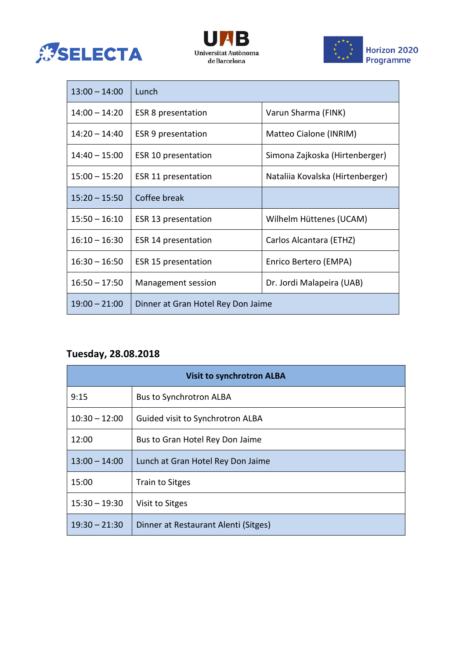





| $13:00 - 14:00$ | Lunch                              |                                  |  |
|-----------------|------------------------------------|----------------------------------|--|
| $14:00 - 14:20$ | <b>ESR 8 presentation</b>          | Varun Sharma (FINK)              |  |
| $14:20 - 14:40$ | ESR 9 presentation                 | Matteo Cialone (INRIM)           |  |
| $14:40 - 15:00$ | ESR 10 presentation                | Simona Zajkoska (Hirtenberger)   |  |
| $15:00 - 15:20$ | ESR 11 presentation                | Nataliia Kovalska (Hirtenberger) |  |
| $15:20 - 15:50$ | Coffee break                       |                                  |  |
| $15:50 - 16:10$ | ESR 13 presentation                | Wilhelm Hüttenes (UCAM)          |  |
| $16:10 - 16:30$ | ESR 14 presentation                | Carlos Alcantara (ETHZ)          |  |
| $16:30 - 16:50$ | ESR 15 presentation                | Enrico Bertero (EMPA)            |  |
| $16:50 - 17:50$ | Management session                 | Dr. Jordi Malapeira (UAB)        |  |
| $19:00 - 21:00$ | Dinner at Gran Hotel Rey Don Jaime |                                  |  |

### **Tuesday, 28.08.2018**

| <b>Visit to synchrotron ALBA</b> |                                      |  |
|----------------------------------|--------------------------------------|--|
| 9:15                             | <b>Bus to Synchrotron ALBA</b>       |  |
| $10:30 - 12:00$                  | Guided visit to Synchrotron ALBA     |  |
| 12:00                            | Bus to Gran Hotel Rey Don Jaime      |  |
| $13:00 - 14:00$                  | Lunch at Gran Hotel Rey Don Jaime    |  |
| 15:00                            | <b>Train to Sitges</b>               |  |
| $15:30 - 19:30$                  | Visit to Sitges                      |  |
| $19:30 - 21:30$                  | Dinner at Restaurant Alenti (Sitges) |  |